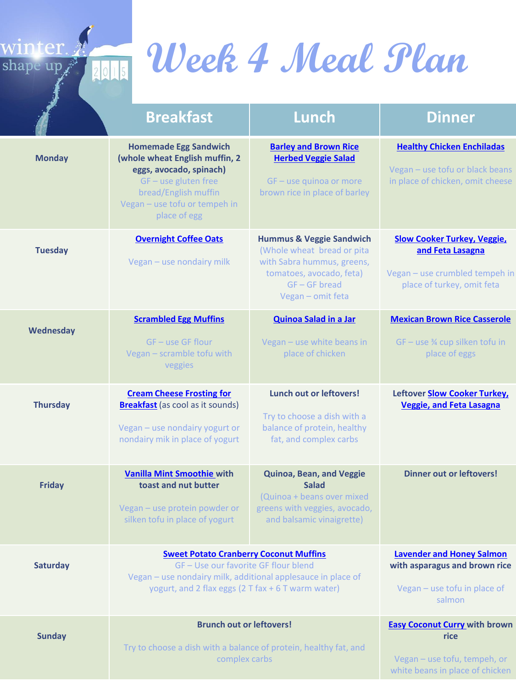

# **Week 4 Meal Plan**

|                 | <b>Breakfast</b>                                                                                                                                                                                          | Lunch                                                                                                                                                               | <b>Dinner</b>                                                                                                          |
|-----------------|-----------------------------------------------------------------------------------------------------------------------------------------------------------------------------------------------------------|---------------------------------------------------------------------------------------------------------------------------------------------------------------------|------------------------------------------------------------------------------------------------------------------------|
| <b>Monday</b>   | <b>Homemade Egg Sandwich</b><br>(whole wheat English muffin, 2<br>eggs, avocado, spinach)<br>GF - use gluten free<br>bread/English muffin<br>Vegan - use tofu or tempeh in<br>place of egg                | <b>Barley and Brown Rice</b><br><b>Herbed Veggie Salad</b><br>GF - use quinoa or more<br>brown rice in place of barley                                              | <b>Healthy Chicken Enchiladas</b><br>Vegan - use tofu or black beans<br>in place of chicken, omit cheese               |
| <b>Tuesday</b>  | <b>Overnight Coffee Oats</b><br>Vegan - use nondairy milk                                                                                                                                                 | <b>Hummus &amp; Veggie Sandwich</b><br>(Whole wheat bread or pita<br>with Sabra hummus, greens,<br>tomatoes, avocado, feta)<br>$GF - GF$ bread<br>Vegan - omit feta | <b>Slow Cooker Turkey, Veggie,</b><br>and Feta Lasagna<br>Vegan - use crumbled tempeh in<br>place of turkey, omit feta |
| Wednesday       | <b>Scrambled Egg Muffins</b><br>GF - use GF flour<br>Vegan - scramble tofu with<br>veggies                                                                                                                | <b>Quinoa Salad in a Jar</b><br>Vegan - use white beans in<br>place of chicken                                                                                      | <b>Mexican Brown Rice Casserole</b><br>GF - use % cup silken tofu in<br>place of eggs                                  |
| <b>Thursday</b> | <b>Cream Cheese Frosting for</b><br><b>Breakfast</b> (as cool as it sounds)<br>Vegan - use nondairy yogurt or<br>nondairy mik in place of yogurt                                                          | <b>Lunch out or leftovers!</b><br>Try to choose a dish with a<br>balance of protein, healthy<br>fat, and complex carbs                                              | Leftover <b>Slow Cooker Turkey</b> ,<br><b>Veggie, and Feta Lasagna</b>                                                |
| <b>Friday</b>   | <b>Vanilla Mint Smoothie with</b><br>toast and nut butter<br>Vegan - use protein powder or<br>silken tofu in place of yogurt                                                                              | Quinoa, Bean, and Veggie<br><b>Salad</b><br>(Quinoa + beans over mixed<br>greens with veggies, avocado,<br>and balsamic vinaigrette)                                | <b>Dinner out or leftovers!</b>                                                                                        |
| Saturday        | <b>Sweet Potato Cranberry Coconut Muffins</b><br>GF-Use our favorite GF flour blend<br>Vegan - use nondairy milk, additional applesauce in place of<br>yogurt, and 2 flax eggs (2 T fax + 6 T warm water) |                                                                                                                                                                     | <b>Lavender and Honey Salmon</b><br>with asparagus and brown rice<br>Vegan - use tofu in place of<br>salmon            |
| <b>Sunday</b>   | <b>Brunch out or leftovers!</b><br>Try to choose a dish with a balance of protein, healthy fat, and<br>complex carbs                                                                                      |                                                                                                                                                                     | <b>Easy Coconut Curry with brown</b><br>rice<br>Vegan - use tofu, tempeh, or<br>white beans in place of chicken        |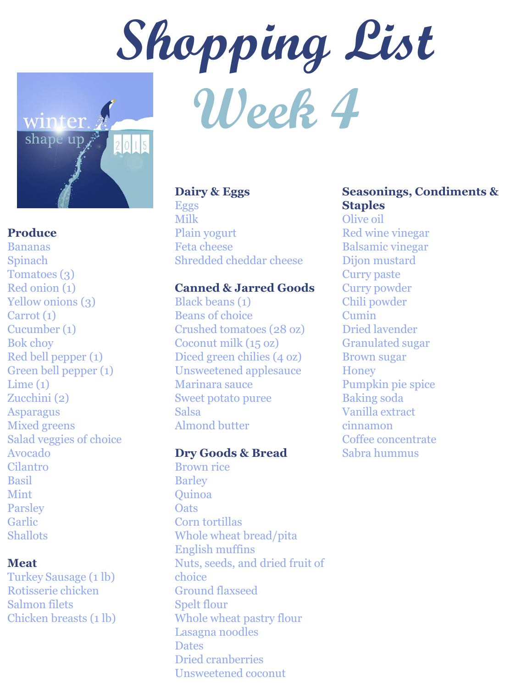



# **Produce**

Bananas Spinach Tomatoes (3) Red onion (1) Yellow onions (3) Carrot (1) Cucumber (1) Bok choy Red bell pepper (1) Green bell pepper (1)  $Lime(1)$ Zucchini (2) Asparagus Mixed greens Salad veggies of choice Avocado Cilantro Basil Mint **Parsley** Garlic **Shallots** 

# **Meat**

Turkey Sausage (1 lb) Rotisserie chicken Salmon filets Chicken breasts (1 lb)

# **Dairy & Eggs**

Eggs Milk Plain yogurt Feta cheese Shredded cheddar cheese

# **Canned & Jarred Goods**

Black beans (1) Beans of choice Crushed tomatoes (28 oz) Coconut milk (15 oz) Diced green chilies (4 oz) Unsweetened applesauce Marinara sauce Sweet potato puree Salsa Almond butter

# **Dry Goods & Bread**

Brown rice **Barley** Quinoa **Oats** Corn tortillas Whole wheat bread/pita English muffins Nuts, seeds, and dried fruit of choice Ground flaxseed Spelt flour Whole wheat pastry flour Lasagna noodles **Dates** Dried cranberries Unsweetened coconut

# **Seasonings, Condiments & Staples**

Olive oil Red wine vinegar Balsamic vinegar Dijon mustard Curry paste Curry powder Chili powder Cumin Dried lavender Granulated sugar Brown sugar **Honey** Pumpkin pie spice Baking soda Vanilla extract cinnamon Coffee concentrate Sabra hummus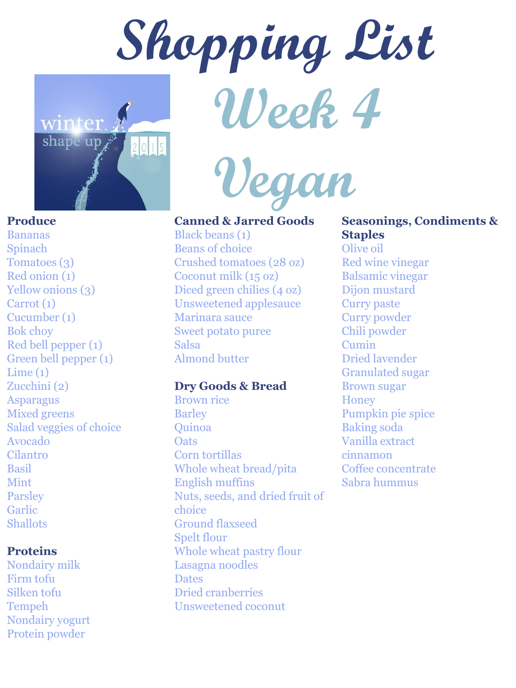



Bananas Spinach Tomatoes (3) Red onion (1) Yellow onions (3) Carrot (1) Cucumber (1) Bok choy Red bell pepper (1) Green bell pepper (1)  $Lime(1)$ Zucchini (2) Asparagus Mixed greens Salad veggies of choice Avocado Cilantro Basil Mint Parsley Garlic Shallots

#### **Proteins**

Nondairy milk Firm tofu Silken tofu Tempeh Nondairy yogurt Protein powder



**Canned & Jarred Goods**

Black beans (1) Beans of choice Crushed tomatoes (28 oz) Coconut milk (15 oz) Diced green chilies (4 oz) Unsweetened applesauce Marinara sauce Sweet potato puree Salsa Almond butter

# **Dry Goods & Bread**

Brown rice Barley Quinoa **Oats** Corn tortillas Whole wheat bread/pita English muffins Nuts, seeds, and dried fruit of choice Ground flaxseed Spelt flour Whole wheat pastry flour Lasagna noodles **Dates** Dried cranberries Unsweetened coconut

# **Seasonings, Condiments & Staples**

Olive oil Red wine vinegar Balsamic vinegar Dijon mustard Curry paste Curry powder Chili powder Cumin Dried lavender Granulated sugar Brown sugar **Honey** Pumpkin pie spice Baking soda Vanilla extract cinnamon Coffee concentrate Sabra hummus